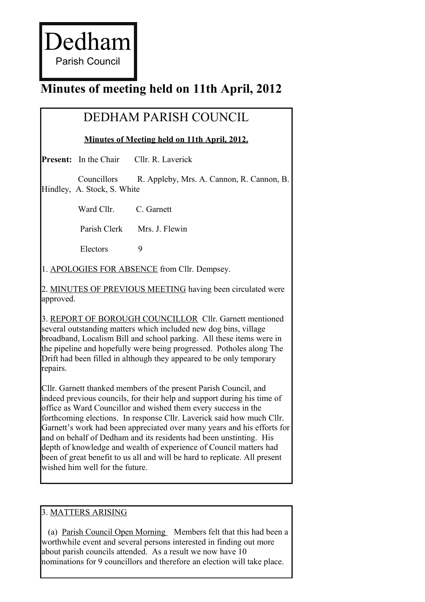Dedham

Parish Council

# **Minutes of meeting held on 11th April, 2012**

## DEDHAM PARISH COUNCIL

**Minutes of Meeting held on 11th April, 2012.**

**Present:** In the Chair Cllr. R. Laverick

Councillors R. Appleby, Mrs. A. Cannon, R. Cannon, B. Hindley, A. Stock, S. White

Ward Cllr. C. Garnett

Parish Clerk Mrs. J. Flewin

Electors 9

1. APOLOGIES FOR ABSENCE from Cllr. Dempsey.

2. MINUTES OF PREVIOUS MEETING having been circulated were approved.

3. REPORT OF BOROUGH COUNCILLOR Cllr. Garnett mentioned several outstanding matters which included new dog bins, village broadband, Localism Bill and school parking. All these items were in the pipeline and hopefully were being progressed. Potholes along The Drift had been filled in although they appeared to be only temporary repairs.

Cllr. Garnett thanked members of the present Parish Council, and indeed previous councils, for their help and support during his time of office as Ward Councillor and wished them every success in the forthcoming elections. In response Cllr. Laverick said how much Cllr. Garnett's work had been appreciated over many years and his efforts for and on behalf of Dedham and its residents had been unstinting. His depth of knowledge and wealth of experience of Council matters had been of great benefit to us all and will be hard to replicate. All present wished him well for the future.

#### 3. MATTERS ARISING

 (a) Parish Council Open Morning Members felt that this had been a worthwhile event and several persons interested in finding out more about parish councils attended. As a result we now have 10 nominations for 9 councillors and therefore an election will take place.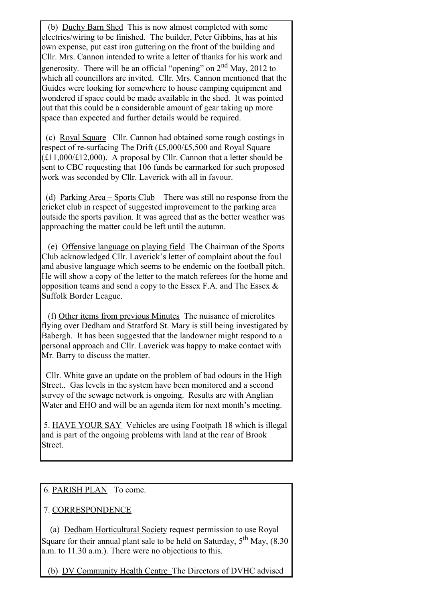(b) Duchy Barn Shed This is now almost completed with some electrics/wiring to be finished. The builder, Peter Gibbins, has at his own expense, put cast iron guttering on the front of the building and Cllr. Mrs. Cannon intended to write a letter of thanks for his work and generosity. There will be an official "opening" on  $2<sup>nd</sup>$  May, 2012 to which all councillors are invited. Cllr. Mrs. Cannon mentioned that the Guides were looking for somewhere to house camping equipment and wondered if space could be made available in the shed. It was pointed out that this could be a considerable amount of gear taking up more space than expected and further details would be required.

 (c) Royal Square Cllr. Cannon had obtained some rough costings in respect of re-surfacing The Drift (£5,000/£5,500 and Royal Square  $(E11,000/E12,000)$ . A proposal by Cllr. Cannon that a letter should be sent to CBC requesting that 106 funds be earmarked for such proposed work was seconded by Cllr. Laverick with all in favour.

(d) Parking Area – Sports Club There was still no response from the cricket club in respect of suggested improvement to the parking area outside the sports pavilion. It was agreed that as the better weather was approaching the matter could be left until the autumn.

 (e) Offensive language on playing field The Chairman of the Sports Club acknowledged Cllr. Laverick's letter of complaint about the foul and abusive language which seems to be endemic on the football pitch. He will show a copy of the letter to the match referees for the home and opposition teams and send a copy to the Essex F.A. and The Essex  $\&$ Suffolk Border League.

 (f) Other items from previous Minutes The nuisance of microlites flying over Dedham and Stratford St. Mary is still being investigated by Babergh. It has been suggested that the landowner might respond to a personal approach and Cllr. Laverick was happy to make contact with Mr. Barry to discuss the matter.

Cllr. White gave an update on the problem of bad odours in the High Street.. Gas levels in the system have been monitored and a second survey of the sewage network is ongoing. Results are with Anglian Water and EHO and will be an agenda item for next month's meeting.

5. HAVE YOUR SAY Vehicles are using Footpath 18 which is illegal and is part of the ongoing problems with land at the rear of Brook Street.

#### 6. PARISH PLAN To come.

### 7. CORRESPONDENCE

 (a) Dedham Horticultural Society request permission to use Royal Square for their annual plant sale to be held on Saturday,  $5<sup>th</sup>$  May, (8.30) a.m. to 11.30 a.m.). There were no objections to this.

(b) DV Community Health Centre The Directors of DVHC advised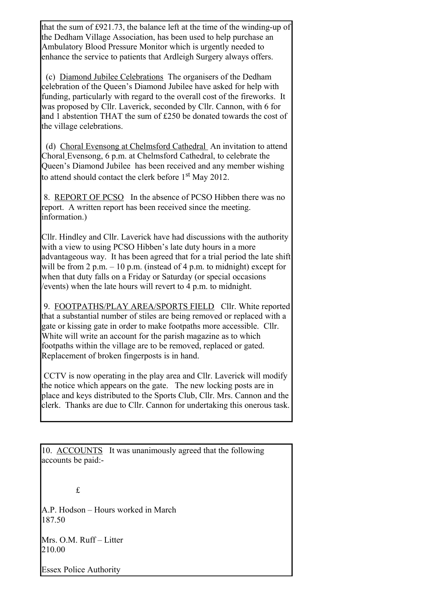that the sum of £921.73, the balance left at the time of the winding-up of the Dedham Village Association, has been used to help purchase an Ambulatory Blood Pressure Monitor which is urgently needed to enhance the service to patients that Ardleigh Surgery always offers.

 (c) Diamond Jubilee Celebrations The organisers of the Dedham celebration of the Queen's Diamond Jubilee have asked for help with funding, particularly with regard to the overall cost of the fireworks. It was proposed by Cllr. Laverick, seconded by Cllr. Cannon, with 6 for and 1 abstention THAT the sum of £250 be donated towards the cost of the village celebrations.

 (d) Choral Evensong at Chelmsford Cathedral An invitation to attend Choral Evensong, 6 p.m. at Chelmsford Cathedral, to celebrate the Queen's Diamond Jubilee has been received and any member wishing to attend should contact the clerk before 1<sup>st</sup> May 2012.

8. REPORT OF PCSO In the absence of PCSO Hibben there was no report. A written report has been received since the meeting. information.)

Cllr. Hindley and Cllr. Laverick have had discussions with the authority with a view to using PCSO Hibben's late duty hours in a more advantageous way. It has been agreed that for a trial period the late shift will be from 2 p.m.  $-10$  p.m. (instead of 4 p.m. to midnight) except for when that duty falls on a Friday or Saturday (or special occasions /events) when the late hours will revert to 4 p.m. to midnight.

9. FOOTPATHS/PLAY AREA/SPORTS FIELD Cllr. White reported that a substantial number of stiles are being removed or replaced with a gate or kissing gate in order to make footpaths more accessible. Cllr. White will write an account for the parish magazine as to which footpaths within the village are to be removed, replaced or gated. Replacement of broken fingerposts is in hand.

CCTV is now operating in the play area and Cllr. Laverick will modify the notice which appears on the gate. The new locking posts are in place and keys distributed to the Sports Club, Cllr. Mrs. Cannon and the clerk. Thanks are due to Cllr. Cannon for undertaking this onerous task.

10. ACCOUNTS It was unanimously agreed that the following accounts be paid:-

£

A.P. Hodson – Hours worked in March 187.50

Mrs. O.M. Ruff – Litter 210.00

Essex Police Authority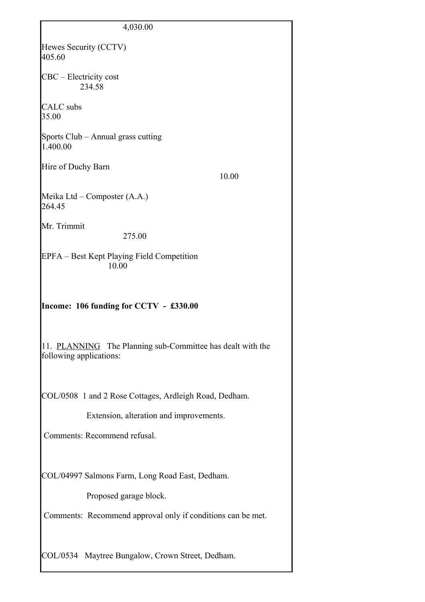| 4,030.00                                                                              |
|---------------------------------------------------------------------------------------|
| Hewes Security (CCTV)<br>405.60                                                       |
| CBC – Electricity cost<br>234.58                                                      |
| CALC subs<br>35.00                                                                    |
| Sports Club – Annual grass cutting<br>1.400.00                                        |
| Hire of Duchy Barn<br>10.00                                                           |
| Meika Ltd – Composter (A.A.)<br>264.45                                                |
| Mr. Trimmit<br>275.00                                                                 |
| EPFA – Best Kept Playing Field Competition<br>10.00                                   |
| Income: 106 funding for CCTV - £330.00                                                |
| 11. PLANNING The Planning sub-Committee has dealt with the<br>following applications: |
| COL/0508 1 and 2 Rose Cottages, Ardleigh Road, Dedham.                                |
| Extension, alteration and improvements.                                               |
| Comments: Recommend refusal.                                                          |
| COL/04997 Salmons Farm, Long Road East, Dedham.                                       |
| Proposed garage block.                                                                |
| Comments: Recommend approval only if conditions can be met.                           |
| COL/0534 Maytree Bungalow, Crown Street, Dedham.                                      |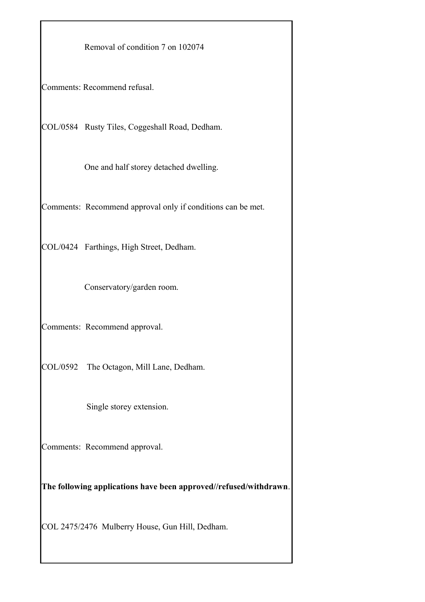Removal of condition 7 on 102074

Comments: Recommend refusal.

COL/0584 Rusty Tiles, Coggeshall Road, Dedham.

One and half storey detached dwelling.

Comments: Recommend approval only if conditions can be met.

COL/0424 Farthings, High Street, Dedham.

Conservatory/garden room.

Comments: Recommend approval.

COL/0592 The Octagon, Mill Lane, Dedham.

Single storey extension.

Comments: Recommend approval.

**The following applications have been approved//refused/withdrawn**.

COL 2475/2476 Mulberry House, Gun Hill, Dedham.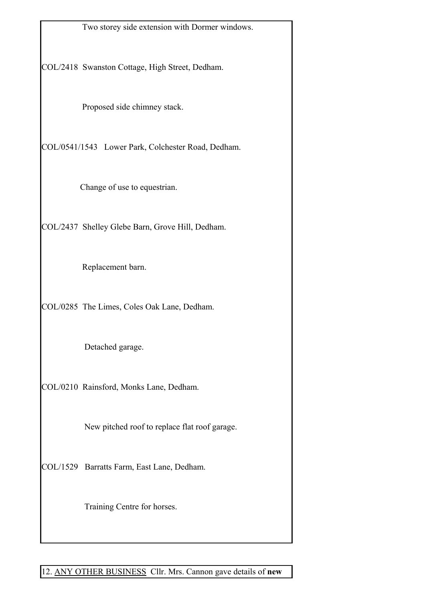Two storey side extension with Dormer windows.

COL/2418 Swanston Cottage, High Street, Dedham.

Proposed side chimney stack.

COL/0541/1543 Lower Park, Colchester Road, Dedham.

Change of use to equestrian.

COL/2437 Shelley Glebe Barn, Grove Hill, Dedham.

Replacement barn.

COL/0285 The Limes, Coles Oak Lane, Dedham.

Detached garage.

COL/0210 Rainsford, Monks Lane, Dedham.

New pitched roof to replace flat roof garage.

COL/1529 Barratts Farm, East Lane, Dedham.

Training Centre for horses.

12. ANY OTHER BUSINESS Cllr. Mrs. Cannon gave details of **new**